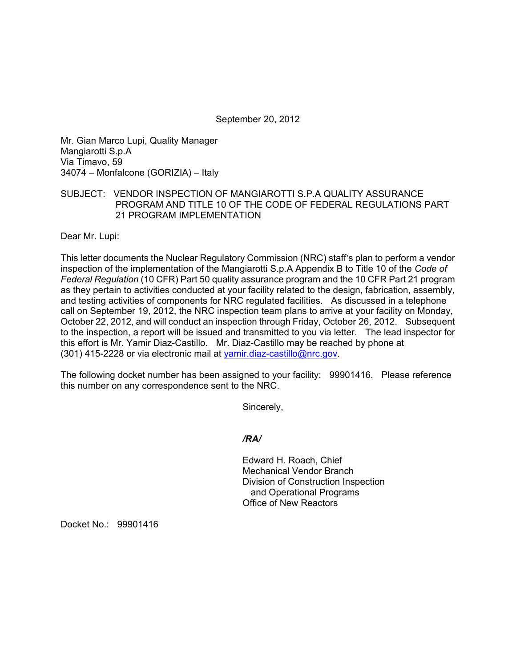September 20, 2012

Mr. Gian Marco Lupi, Quality Manager Mangiarotti S.p.A Via Timavo, 59 34074 – Monfalcone (GORIZIA) – Italy

# SUBJECT: VENDOR INSPECTION OF MANGIAROTTI S.P.A QUALITY ASSURANCE PROGRAM AND TITLE 10 OF THE CODE OF FEDERAL REGULATIONS PART 21 PROGRAM IMPLEMENTATION

Dear Mr. Lupi:

This letter documents the Nuclear Regulatory Commission (NRC) staff's plan to perform a vendor inspection of the implementation of the Mangiarotti S.p.A Appendix B to Title 10 of the *Code of Federal Regulation* (10 CFR) Part 50 quality assurance program and the 10 CFR Part 21 program as they pertain to activities conducted at your facility related to the design, fabrication, assembly, and testing activities of components for NRC regulated facilities. As discussed in a telephone call on September 19, 2012, the NRC inspection team plans to arrive at your facility on Monday, October 22, 2012, and will conduct an inspection through Friday, October 26, 2012. Subsequent to the inspection, a report will be issued and transmitted to you via letter. The lead inspector for this effort is Mr. Yamir Diaz-Castillo. Mr. Diaz-Castillo may be reached by phone at (301) 415-2228 or via electronic mail at yamir.diaz-castillo@nrc.gov.

The following docket number has been assigned to your facility: 99901416. Please reference this number on any correspondence sent to the NRC.

Sincerely,

## */RA/*

Edward H. Roach, Chief Mechanical Vendor Branch Division of Construction Inspection and Operational Programs Office of New Reactors

Docket No.: 99901416